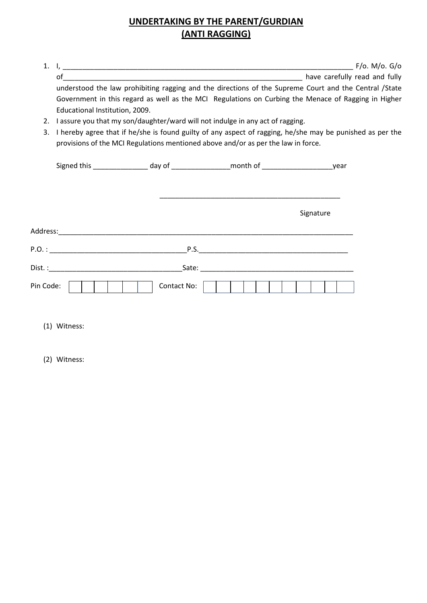## **UNDERTAKING BY THE PARENT/GURDIAN (ANTI RAGGING)**

| $\mathbf{1}$ . |                                                                                                           |  |  |  |
|----------------|-----------------------------------------------------------------------------------------------------------|--|--|--|
|                |                                                                                                           |  |  |  |
|                | understood the law prohibiting ragging and the directions of the Supreme Court and the Central /State     |  |  |  |
|                | Government in this regard as well as the MCI Regulations on Curbing the Menace of Ragging in Higher       |  |  |  |
|                | Educational Institution, 2009.                                                                            |  |  |  |
| 2.             | I assure you that my son/daughter/ward will not indulge in any act of ragging.                            |  |  |  |
| 3.             | I hereby agree that if he/she is found guilty of any aspect of ragging, he/she may be punished as per the |  |  |  |
|                | provisions of the MCI Regulations mentioned above and/or as per the law in force.                         |  |  |  |
|                |                                                                                                           |  |  |  |
|                | Signed this _________________ day of __________________month of __________________________year            |  |  |  |
|                |                                                                                                           |  |  |  |
|                |                                                                                                           |  |  |  |
|                |                                                                                                           |  |  |  |
|                | Signature                                                                                                 |  |  |  |
|                |                                                                                                           |  |  |  |
|                |                                                                                                           |  |  |  |
|                |                                                                                                           |  |  |  |
|                |                                                                                                           |  |  |  |
|                |                                                                                                           |  |  |  |
| Pin Code:      | Contact No:                                                                                               |  |  |  |
|                |                                                                                                           |  |  |  |

(1) Witness:

(2) Witness: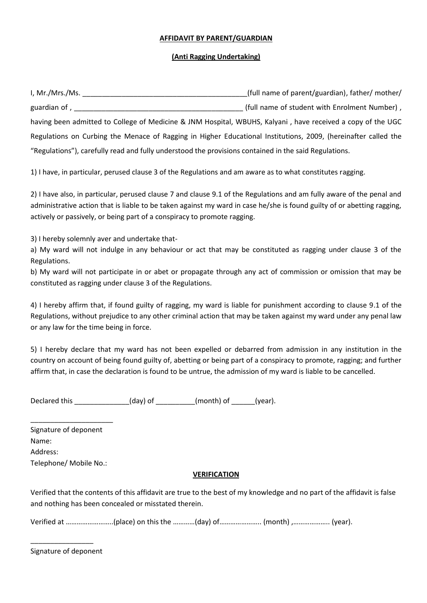## **AFFIDAVIT BY PARENT/GUARDIAN**

## **(Anti Ragging Undertaking)**

| I, Mr./Mrs./Ms.                                                                                                | (full name of parent/guardian), father/ mother/ |  |  |
|----------------------------------------------------------------------------------------------------------------|-------------------------------------------------|--|--|
| guardian of,                                                                                                   | (full name of student with Enrolment Number),   |  |  |
| having been admitted to College of Medicine & JNM Hospital, WBUHS, Kalyani, have received a copy of the UGC    |                                                 |  |  |
| Regulations on Curbing the Menace of Ragging in Higher Educational Institutions, 2009, (hereinafter called the |                                                 |  |  |
| "Regulations"), carefully read and fully understood the provisions contained in the said Regulations.          |                                                 |  |  |

1) I have, in particular, perused clause 3 of the Regulations and am aware as to what constitutes ragging.

2) I have also, in particular, perused clause 7 and clause 9.1 of the Regulations and am fully aware of the penal and administrative action that is liable to be taken against my ward in case he/she is found guilty of or abetting ragging, actively or passively, or being part of a conspiracy to promote ragging.

3) I hereby solemnly aver and undertake that-

a) My ward will not indulge in any behaviour or act that may be constituted as ragging under clause 3 of the Regulations.

b) My ward will not participate in or abet or propagate through any act of commission or omission that may be constituted as ragging under clause 3 of the Regulations.

4) I hereby affirm that, if found guilty of ragging, my ward is liable for punishment according to clause 9.1 of the Regulations, without prejudice to any other criminal action that may be taken against my ward under any penal law or any law for the time being in force.

5) I hereby declare that my ward has not been expelled or debarred from admission in any institution in the country on account of being found guilty of, abetting or being part of a conspiracy to promote, ragging; and further affirm that, in case the declaration is found to be untrue, the admission of my ward is liable to be cancelled.

Declared this \_\_\_\_\_\_\_\_\_\_\_\_\_\_(day) of \_\_\_\_\_\_\_\_\_\_(month) of \_\_\_\_\_\_(year).

| Signature of deponent  |
|------------------------|
| Name:                  |
| Address:               |
| Telephone/ Mobile No.: |

\_\_\_\_\_\_\_\_\_\_\_\_\_\_\_\_\_\_\_\_\_

## **VERIFICATION**

Verified that the contents of this affidavit are true to the best of my knowledge and no part of the affidavit is false and nothing has been concealed or misstated therein.

Verified at ……………………..(place) on this the …………(day) of………………….. (month) ,……………….. (year).

Signature of deponent

\_\_\_\_\_\_\_\_\_\_\_\_\_\_\_\_